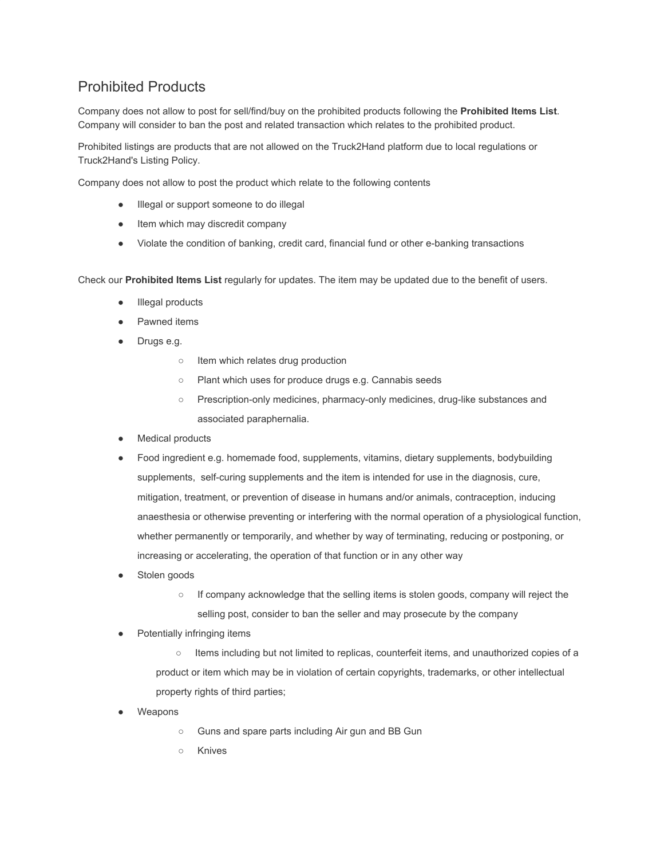## Prohibited Products

Company does not allow to post for sell/find/buy on the prohibited products following the **Prohibited Items List**. Company will consider to ban the post and related transaction which relates to the prohibited product.

Prohibited listings are products that are not allowed on the Truck2Hand platform due to local regulations or Truck2Hand's Listing Policy.

Company does not allow to post the product which relate to the following contents

- Illegal or support someone to do illegal
- Item which may discredit company
- Violate the condition of banking, credit card, financial fund or other e-banking transactions

Check our **Prohibited Items List** regularly for updates. The item may be updated due to the benefit of users.

- Illegal products
- Pawned items
- Drugs e.g.
	- Item which relates drug production
	- Plant which uses for produce drugs e.g. Cannabis seeds
	- Prescription-only medicines, pharmacy-only medicines, drug-like substances and associated paraphernalia.
- Medical products
- Food ingredient e.g. homemade food, supplements, vitamins, dietary supplements, bodybuilding supplements, self-curing supplements and the item is intended for use in the diagnosis, cure, mitigation, treatment, or prevention of disease in humans and/or animals, contraception, inducing anaesthesia or otherwise preventing or interfering with the normal operation of a physiological function, whether permanently or temporarily, and whether by way of terminating, reducing or postponing, or increasing or accelerating, the operation of that function or in any other way
- Stolen goods
	- If company acknowledge that the selling items is stolen goods, company will reject the selling post, consider to ban the seller and may prosecute by the company
- Potentially infringing items
	- Items including but not limited to replicas, counterfeit items, and unauthorized copies of a product or item which may be in violation of certain copyrights, trademarks, or other intellectual property rights of third parties;
- Weapons
	- Guns and spare parts including Air gun and BB Gun
	- Knives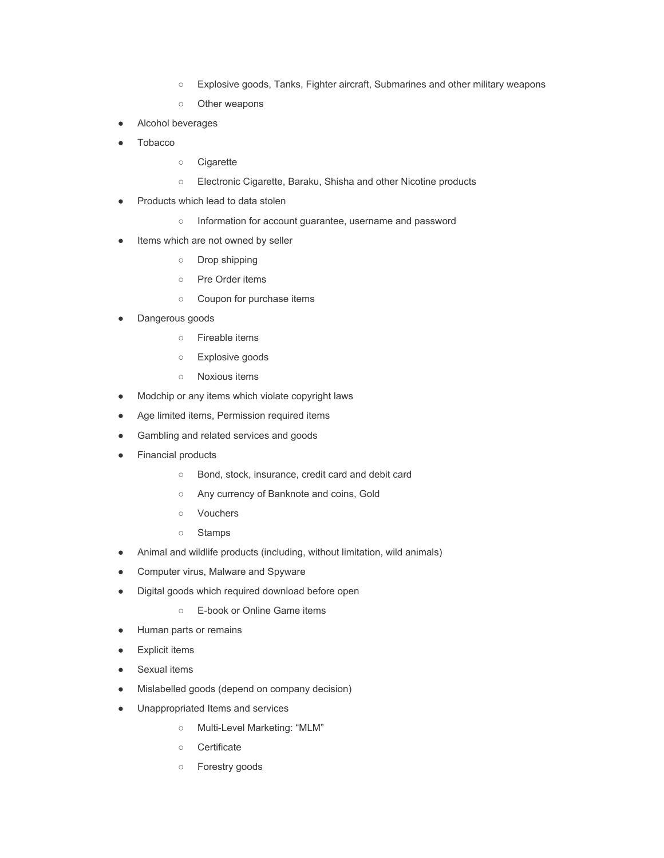- Explosive goods, Tanks, Fighter aircraft, Submarines and other military weapons
- Other weapons
- Alcohol beverages
- Tobacco
	- Cigarette
	- Electronic Cigarette, Baraku, Shisha and other Nicotine products
- Products which lead to data stolen
	- o Information for account guarantee, username and password
- Items which are not owned by seller
	- Drop shipping
	- Pre Order items
	- Coupon for purchase items
- Dangerous goods
	- Fireable items
	- Explosive goods
	- Noxious items
- Modchip or any items which violate copyright laws
- Age limited items, Permission required items
- Gambling and related services and goods
- Financial products
	- Bond, stock, insurance, credit card and debit card
	- Any currency of Banknote and coins, Gold
	- Vouchers
	- Stamps
- Animal and wildlife products (including, without limitation, wild animals)
- Computer virus, Malware and Spyware
- Digital goods which required download before open
	- E-book or Online Game items
- Human parts or remains
- Explicit items
- Sexual items
- Mislabelled goods (depend on company decision)
- Unappropriated Items and services
	- Multi-Level Marketing: "MLM"
	- Certificate
	- Forestry goods